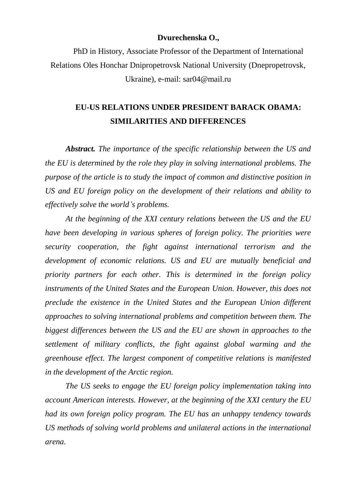## **Dvurechenska O.,**

PhD in History, Associate Professor of the Department of International Relations Oles Honchar Dnipropetrovsk National University (Dnepropetrovsk, Ukraine), e-mail: sar04@mail.ru

## **EU-US RELATIONS UNDER PRESIDENT BARACK OBAMA: SIMILARITIES AND DIFFERENCES**

*Abstract. The importance of the specific relationship between the US and the EU is determined by the role they play in solving international problems. The purpose of the article is to study the impact of common and distinctive position in US and EU foreign policy on the development of their relations and ability to effectively solve the world's problems.*

*At the beginning of the XXI century relations between the US and the EU have been developing in various spheres of foreign policy. The priorities were security cooperation, the fight against international terrorism and the development of economic relations. US and EU are mutually beneficial and priority partners for each other. This is determined in the foreign policy instruments of the United States and the European Union. However, this does not preclude the existence in the United States and the European Union different approaches to solving international problems and competition between them. The biggest differences between the US and the EU are shown in approaches to the settlement of military conflicts, the fight against global warming and the greenhouse effect. The largest component of competitive relations is manifested in the development of the Arctic region.*

*The US seeks to engage the EU foreign policy implementation taking into account American interests. However, at the beginning of the XXI century the EU had its own foreign policy program. The EU has an unhappy tendency towards US methods of solving world problems and unilateral actions in the international arena.*